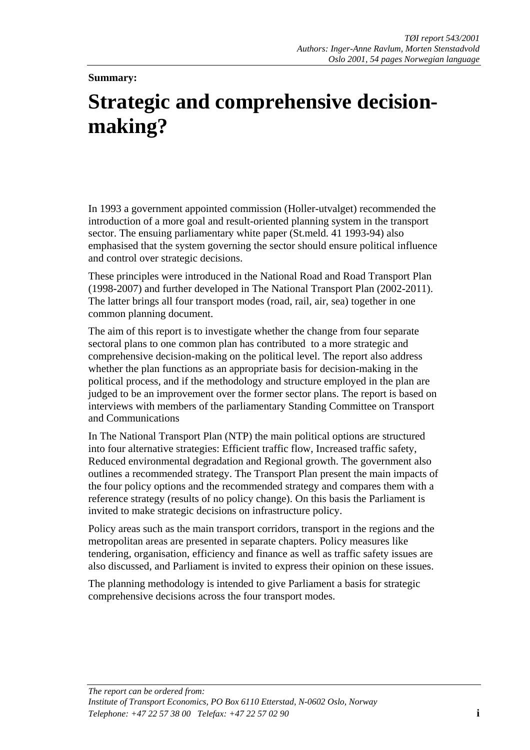## **Summary:**

# **Strategic and comprehensive decisionmaking?**

In 1993 a government appointed commission (Holler-utvalget) recommended the introduction of a more goal and result-oriented planning system in the transport sector. The ensuing parliamentary white paper (St.meld. 41 1993-94) also emphasised that the system governing the sector should ensure political influence and control over strategic decisions.

These principles were introduced in the National Road and Road Transport Plan (1998-2007) and further developed in The National Transport Plan (2002-2011). The latter brings all four transport modes (road, rail, air, sea) together in one common planning document.

The aim of this report is to investigate whether the change from four separate sectoral plans to one common plan has contributed to a more strategic and comprehensive decision-making on the political level. The report also address whether the plan functions as an appropriate basis for decision-making in the political process, and if the methodology and structure employed in the plan are judged to be an improvement over the former sector plans. The report is based on interviews with members of the parliamentary Standing Committee on Transport and Communications

In The National Transport Plan (NTP) the main political options are structured into four alternative strategies: Efficient traffic flow, Increased traffic safety, Reduced environmental degradation and Regional growth. The government also outlines a recommended strategy. The Transport Plan present the main impacts of the four policy options and the recommended strategy and compares them with a reference strategy (results of no policy change). On this basis the Parliament is invited to make strategic decisions on infrastructure policy.

Policy areas such as the main transport corridors, transport in the regions and the metropolitan areas are presented in separate chapters. Policy measures like tendering, organisation, efficiency and finance as well as traffic safety issues are also discussed, and Parliament is invited to express their opinion on these issues.

The planning methodology is intended to give Parliament a basis for strategic comprehensive decisions across the four transport modes.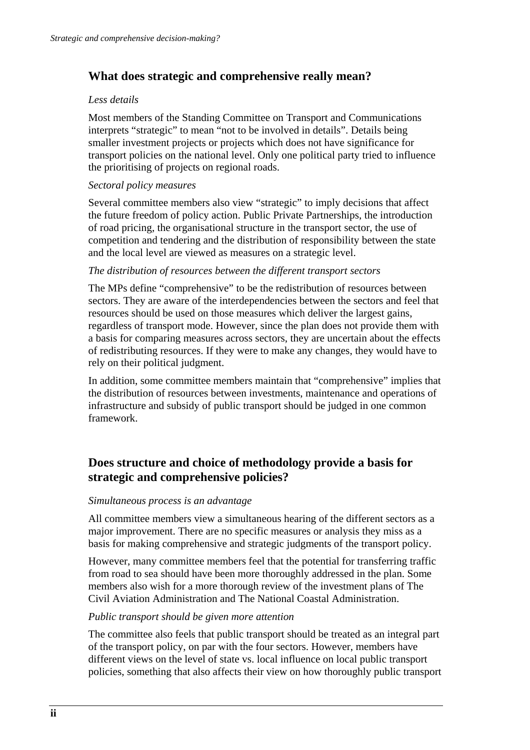# **What does strategic and comprehensive really mean?**

#### *Less details*

Most members of the Standing Committee on Transport and Communications interprets "strategic" to mean "not to be involved in details". Details being smaller investment projects or projects which does not have significance for transport policies on the national level. Only one political party tried to influence the prioritising of projects on regional roads.

## *Sectoral policy measures*

Several committee members also view "strategic" to imply decisions that affect the future freedom of policy action. Public Private Partnerships, the introduction of road pricing, the organisational structure in the transport sector, the use of competition and tendering and the distribution of responsibility between the state and the local level are viewed as measures on a strategic level.

#### *The distribution of resources between the different transport sectors*

The MPs define "comprehensive" to be the redistribution of resources between sectors. They are aware of the interdependencies between the sectors and feel that resources should be used on those measures which deliver the largest gains, regardless of transport mode. However, since the plan does not provide them with a basis for comparing measures across sectors, they are uncertain about the effects of redistributing resources. If they were to make any changes, they would have to rely on their political judgment.

In addition, some committee members maintain that "comprehensive" implies that the distribution of resources between investments, maintenance and operations of infrastructure and subsidy of public transport should be judged in one common framework.

# **Does structure and choice of methodology provide a basis for strategic and comprehensive policies?**

#### *Simultaneous process is an advantage*

All committee members view a simultaneous hearing of the different sectors as a major improvement. There are no specific measures or analysis they miss as a basis for making comprehensive and strategic judgments of the transport policy.

However, many committee members feel that the potential for transferring traffic from road to sea should have been more thoroughly addressed in the plan. Some members also wish for a more thorough review of the investment plans of The Civil Aviation Administration and The National Coastal Administration.

## *Public transport should be given more attention*

The committee also feels that public transport should be treated as an integral part of the transport policy, on par with the four sectors. However, members have different views on the level of state vs. local influence on local public transport policies, something that also affects their view on how thoroughly public transport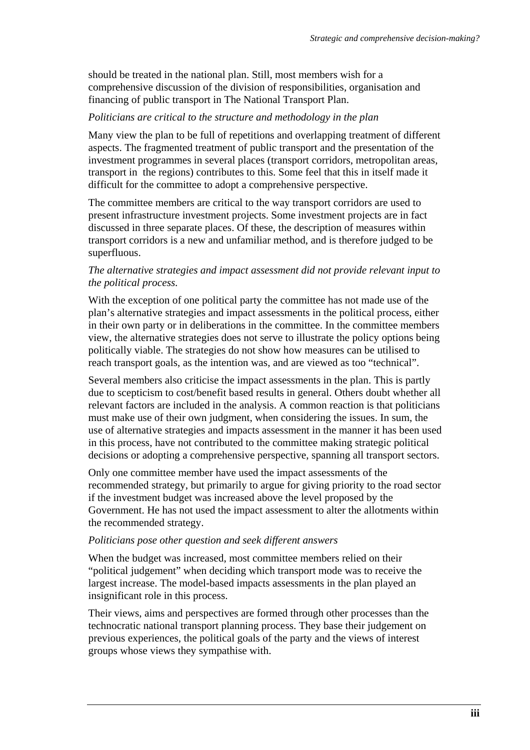should be treated in the national plan. Still, most members wish for a comprehensive discussion of the division of responsibilities, organisation and financing of public transport in The National Transport Plan.

## *Politicians are critical to the structure and methodology in the plan*

Many view the plan to be full of repetitions and overlapping treatment of different aspects. The fragmented treatment of public transport and the presentation of the investment programmes in several places (transport corridors, metropolitan areas, transport in the regions) contributes to this. Some feel that this in itself made it difficult for the committee to adopt a comprehensive perspective.

The committee members are critical to the way transport corridors are used to present infrastructure investment projects. Some investment projects are in fact discussed in three separate places. Of these, the description of measures within transport corridors is a new and unfamiliar method, and is therefore judged to be superfluous.

## *The alternative strategies and impact assessment did not provide relevant input to the political process.*

With the exception of one political party the committee has not made use of the plan's alternative strategies and impact assessments in the political process, either in their own party or in deliberations in the committee. In the committee members view, the alternative strategies does not serve to illustrate the policy options being politically viable. The strategies do not show how measures can be utilised to reach transport goals, as the intention was, and are viewed as too "technical".

Several members also criticise the impact assessments in the plan. This is partly due to scepticism to cost/benefit based results in general. Others doubt whether all relevant factors are included in the analysis. A common reaction is that politicians must make use of their own judgment, when considering the issues. In sum, the use of alternative strategies and impacts assessment in the manner it has been used in this process, have not contributed to the committee making strategic political decisions or adopting a comprehensive perspective, spanning all transport sectors.

Only one committee member have used the impact assessments of the recommended strategy, but primarily to argue for giving priority to the road sector if the investment budget was increased above the level proposed by the Government. He has not used the impact assessment to alter the allotments within the recommended strategy.

## *Politicians pose other question and seek different answers*

When the budget was increased, most committee members relied on their "political judgement" when deciding which transport mode was to receive the largest increase. The model-based impacts assessments in the plan played an insignificant role in this process.

Their views, aims and perspectives are formed through other processes than the technocratic national transport planning process. They base their judgement on previous experiences, the political goals of the party and the views of interest groups whose views they sympathise with.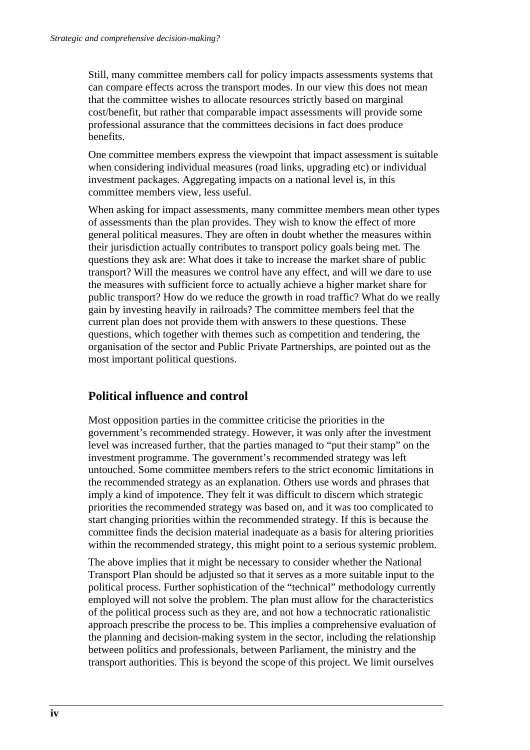Still, many committee members call for policy impacts assessments systems that can compare effects across the transport modes. In our view this does not mean that the committee wishes to allocate resources strictly based on marginal cost/benefit, but rather that comparable impact assessments will provide some professional assurance that the committees decisions in fact does produce benefits.

One committee members express the viewpoint that impact assessment is suitable when considering individual measures (road links, upgrading etc) or individual investment packages. Aggregating impacts on a national level is, in this committee members view, less useful.

When asking for impact assessments, many committee members mean other types of assessments than the plan provides. They wish to know the effect of more general political measures. They are often in doubt whether the measures within their jurisdiction actually contributes to transport policy goals being met. The questions they ask are: What does it take to increase the market share of public transport? Will the measures we control have any effect, and will we dare to use the measures with sufficient force to actually achieve a higher market share for public transport? How do we reduce the growth in road traffic? What do we really gain by investing heavily in railroads? The committee members feel that the current plan does not provide them with answers to these questions. These questions, which together with themes such as competition and tendering, the organisation of the sector and Public Private Partnerships, are pointed out as the most important political questions.

# **Political influence and control**

Most opposition parties in the committee criticise the priorities in the government's recommended strategy. However, it was only after the investment level was increased further, that the parties managed to "put their stamp" on the investment programme. The government's recommended strategy was left untouched. Some committee members refers to the strict economic limitations in the recommended strategy as an explanation. Others use words and phrases that imply a kind of impotence. They felt it was difficult to discern which strategic priorities the recommended strategy was based on, and it was too complicated to start changing priorities within the recommended strategy. If this is because the committee finds the decision material inadequate as a basis for altering priorities within the recommended strategy, this might point to a serious systemic problem.

The above implies that it might be necessary to consider whether the National Transport Plan should be adjusted so that it serves as a more suitable input to the political process. Further sophistication of the "technical" methodology currently employed will not solve the problem. The plan must allow for the characteristics of the political process such as they are, and not how a technocratic rationalistic approach prescribe the process to be. This implies a comprehensive evaluation of the planning and decision-making system in the sector, including the relationship between politics and professionals, between Parliament, the ministry and the transport authorities. This is beyond the scope of this project. We limit ourselves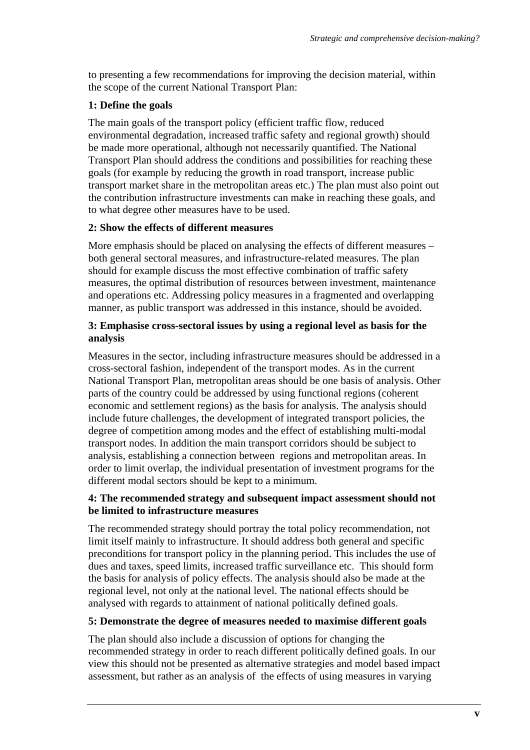to presenting a few recommendations for improving the decision material, within the scope of the current National Transport Plan:

## **1: Define the goals**

The main goals of the transport policy (efficient traffic flow, reduced environmental degradation, increased traffic safety and regional growth) should be made more operational, although not necessarily quantified. The National Transport Plan should address the conditions and possibilities for reaching these goals (for example by reducing the growth in road transport, increase public transport market share in the metropolitan areas etc.) The plan must also point out the contribution infrastructure investments can make in reaching these goals, and to what degree other measures have to be used.

#### **2: Show the effects of different measures**

More emphasis should be placed on analysing the effects of different measures – both general sectoral measures, and infrastructure-related measures. The plan should for example discuss the most effective combination of traffic safety measures, the optimal distribution of resources between investment, maintenance and operations etc. Addressing policy measures in a fragmented and overlapping manner, as public transport was addressed in this instance, should be avoided.

## **3: Emphasise cross-sectoral issues by using a regional level as basis for the analysis**

Measures in the sector, including infrastructure measures should be addressed in a cross-sectoral fashion, independent of the transport modes. As in the current National Transport Plan, metropolitan areas should be one basis of analysis. Other parts of the country could be addressed by using functional regions (coherent economic and settlement regions) as the basis for analysis. The analysis should include future challenges, the development of integrated transport policies, the degree of competition among modes and the effect of establishing multi-modal transport nodes. In addition the main transport corridors should be subject to analysis, establishing a connection between regions and metropolitan areas. In order to limit overlap, the individual presentation of investment programs for the different modal sectors should be kept to a minimum.

#### **4: The recommended strategy and subsequent impact assessment should not be limited to infrastructure measures**

The recommended strategy should portray the total policy recommendation, not limit itself mainly to infrastructure. It should address both general and specific preconditions for transport policy in the planning period. This includes the use of dues and taxes, speed limits, increased traffic surveillance etc. This should form the basis for analysis of policy effects. The analysis should also be made at the regional level, not only at the national level. The national effects should be analysed with regards to attainment of national politically defined goals.

## **5: Demonstrate the degree of measures needed to maximise different goals**

The plan should also include a discussion of options for changing the recommended strategy in order to reach different politically defined goals. In our view this should not be presented as alternative strategies and model based impact assessment, but rather as an analysis of the effects of using measures in varying